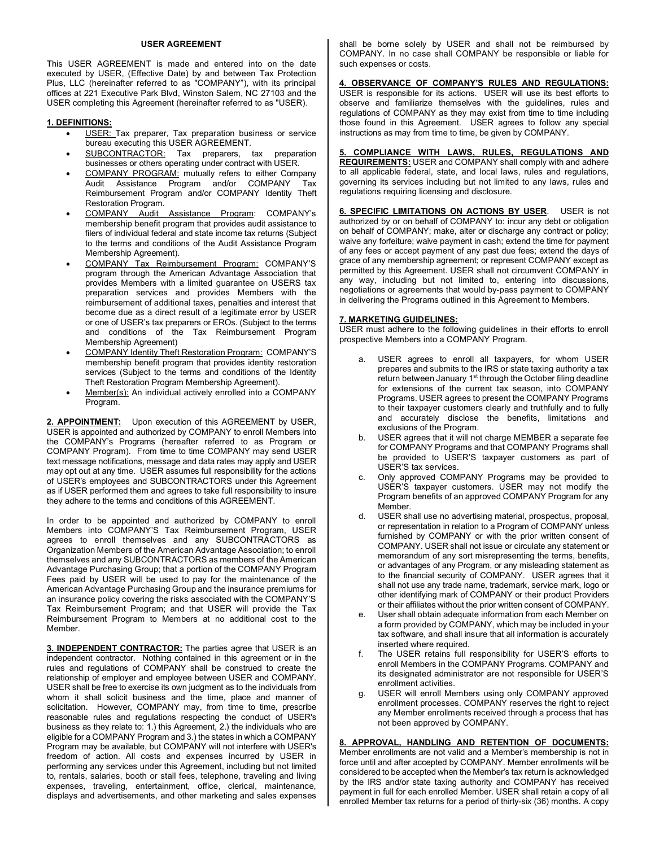### **USER AGREEMENT**

This USER AGREEMENT is made and entered into on the date executed by USER, (Effective Date) by and between Tax Protection Plus, LLC (hereinafter referred to as "COMPANY"), with its principal offices at 221 Executive Park Blvd, Winston Salem, NC 27103 and the USER completing this Agreement (hereinafter referred to as "USER).

## **1. DEFINITIONS:**

- USER: Tax preparer, Tax preparation business or service bureau executing this USER AGREEMENT.
- SUBCONTRACTOR: Tax preparers, tax preparation businesses or others operating under contract with USER.
- COMPANY PROGRAM: mutually refers to either Company Audit Assistance Program and/or COMPANY Tax Reimbursement Program and/or COMPANY Identity Theft Restoration Program.
- COMPANY Audit Assistance Program: COMPANY's membership benefit program that provides audit assistance to filers of individual federal and state income tax returns (Subject to the terms and conditions of the Audit Assistance Program Membership Agreement).
- COMPANY Tax Reimbursement Program: COMPANY'S program through the American Advantage Association that provides Members with a limited guarantee on USERS tax preparation services and provides Members with the reimbursement of additional taxes, penalties and interest that become due as a direct result of a legitimate error by USER or one of USER's tax preparers or EROs. (Subject to the terms and conditions of the Tax Reimbursement Program Membership Agreement)
- COMPANY Identity Theft Restoration Program: COMPANY'S membership benefit program that provides identity restoration services (Subject to the terms and conditions of the Identity Theft Restoration Program Membership Agreement).
- Member(s): An individual actively enrolled into a COMPANY Program.

**2. APPOINTMENT:** Upon execution of this AGREEMENT by USER, USER is appointed and authorized by COMPANY to enroll Members into the COMPANY's Programs (hereafter referred to as Program or COMPANY Program). From time to time COMPANY may send USER text message notifications, message and data rates may apply and USER may opt out at any time. USER assumes full responsibility for the actions of USER's employees and SUBCONTRACTORS under this Agreement as if USER performed them and agrees to take full responsibility to insure they adhere to the terms and conditions of this AGREEMENT.

In order to be appointed and authorized by COMPANY to enroll Members into COMPANY'S Tax Reimbursement Program, USER agrees to enroll themselves and any SUBCONTRACTORS as Organization Members of the American Advantage Association; to enroll themselves and any SUBCONTRACTORS as members of the American Advantage Purchasing Group; that a portion of the COMPANY Program Fees paid by USER will be used to pay for the maintenance of the American Advantage Purchasing Group and the insurance premiums for an insurance policy covering the risks associated with the COMPANY'S Tax Reimbursement Program; and that USER will provide the Tax Reimbursement Program to Members at no additional cost to the Member.

**3. INDEPENDENT CONTRACTOR:** The parties agree that USER is an independent contractor. Nothing contained in this agreement or in the rules and regulations of COMPANY shall be construed to create the relationship of employer and employee between USER and COMPANY. USER shall be free to exercise its own judgment as to the individuals from whom it shall solicit business and the time, place and manner of solicitation. However, COMPANY may, from time to time, prescribe reasonable rules and regulations respecting the conduct of USER's business as they relate to: 1.) this Agreement, 2.) the individuals who are eligible for a COMPANY Program and 3.) the states in which a COMPANY Program may be available, but COMPANY will not interfere with USER's freedom of action. All costs and expenses incurred by USER in performing any services under this Agreement, including but not limited to, rentals, salaries, booth or stall fees, telephone, traveling and living expenses, traveling, entertainment, office, clerical, maintenance, displays and advertisements, and other marketing and sales expenses shall be borne solely by USER and shall not be reimbursed by COMPANY. In no case shall COMPANY be responsible or liable for such expenses or costs.

**4. OBSERVANCE OF COMPANY'S RULES AND REGULATIONS:** USER is responsible for its actions. USER will use its best efforts to observe and familiarize themselves with the guidelines, rules and regulations of COMPANY as they may exist from time to time including those found in this Agreement. USER agrees to follow any special instructions as may from time to time, be given by COMPANY.

# **5. COMPLIANCE WITH LAWS, RULES, REGULATIONS AND REQUIREMENTS:** USER and COMPANY shall comply with and adhere

to all applicable federal, state, and local laws, rules and regulations, governing its services including but not limited to any laws, rules and regulations requiring licensing and disclosure.

**6. SPECIFIC LIMITATIONS ON ACTIONS BY USER**. USER is not authorized by or on behalf of COMPANY to: incur any debt or obligation on behalf of COMPANY; make, alter or discharge any contract or policy; waive any forfeiture; waive payment in cash; extend the time for payment of any fees or accept payment of any past due fees; extend the days of grace of any membership agreement; or represent COMPANY except as permitted by this Agreement. USER shall not circumvent COMPANY in any way, including but not limited to, entering into discussions, negotiations or agreements that would by-pass payment to COMPANY in delivering the Programs outlined in this Agreement to Members.

## **7. MARKETING GUIDELINES:**

USER must adhere to the following guidelines in their efforts to enroll prospective Members into a COMPANY Program.

- USER agrees to enroll all taxpayers, for whom USER prepares and submits to the IRS or state taxing authority a tax return between January 1<sup>st</sup> through the October filing deadline for extensions of the current tax season, into COMPANY Programs. USER agrees to present the COMPANY Programs to their taxpayer customers clearly and truthfully and to fully and accurately disclose the benefits, limitations and exclusions of the Program.
- b. USER agrees that it will not charge MEMBER a separate fee for COMPANY Programs and that COMPANY Programs shall be provided to USER'S taxpayer customers as part of USER'S tax services.
- c. Only approved COMPANY Programs may be provided to USER'S taxpayer customers. USER may not modify the Program benefits of an approved COMPANY Program for any Member.
- d. USER shall use no advertising material, prospectus, proposal, or representation in relation to a Program of COMPANY unless furnished by COMPANY or with the prior written consent of COMPANY. USER shall not issue or circulate any statement or memorandum of any sort misrepresenting the terms, benefits, or advantages of any Program, or any misleading statement as to the financial security of COMPANY. USER agrees that it shall not use any trade name, trademark, service mark, logo or other identifying mark of COMPANY or their product Providers or their affiliates without the prior written consent of COMPANY.
- e. User shall obtain adequate information from each Member on a form provided by COMPANY, which may be included in your tax software, and shall insure that all information is accurately inserted where required.
- f. The USER retains full responsibility for USER'S efforts to enroll Members in the COMPANY Programs. COMPANY and its designated administrator are not responsible for USER'S enrollment activities.
- g. USER will enroll Members using only COMPANY approved enrollment processes. COMPANY reserves the right to reject any Member enrollments received through a process that has not been approved by COMPANY.

**8. APPROVAL, HANDLING AND RETENTION OF DOCUMENTS:**  Member enrollments are not valid and a Member's membership is not in force until and after accepted by COMPANY. Member enrollments will be considered to be accepted when the Member's tax return is acknowledged by the IRS and/or state taxing authority and COMPANY has received payment in full for each enrolled Member. USER shall retain a copy of all enrolled Member tax returns for a period of thirty-six (36) months. A copy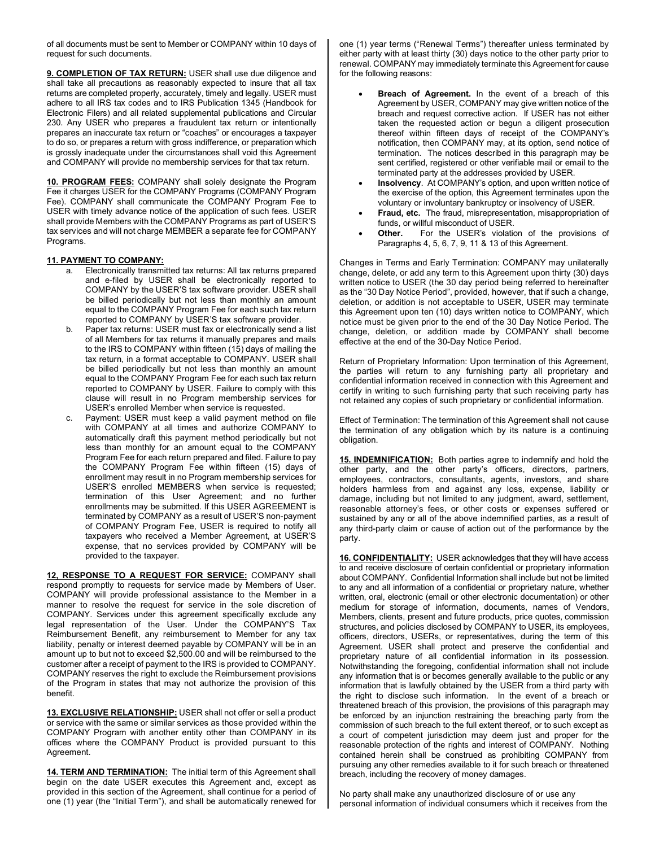of all documents must be sent to Member or COMPANY within 10 days of request for such documents.

**9. COMPLETION OF TAX RETURN:** USER shall use due diligence and shall take all precautions as reasonably expected to insure that all tax returns are completed properly, accurately, timely and legally. USER must adhere to all IRS tax codes and to IRS Publication 1345 (Handbook for Electronic Filers) and all related supplemental publications and Circular 230. Any USER who prepares a fraudulent tax return or intentionally prepares an inaccurate tax return or "coaches" or encourages a taxpayer to do so, or prepares a return with gross indifference, or preparation which is grossly inadequate under the circumstances shall void this Agreement and COMPANY will provide no membership services for that tax return.

**10. PROGRAM FEES:** COMPANY shall solely designate the Program Fee it charges USER for the COMPANY Programs (COMPANY Program Fee). COMPANY shall communicate the COMPANY Program Fee to USER with timely advance notice of the application of such fees. USER shall provide Members with the COMPANY Programs as part of USER'S tax services and will not charge MEMBER a separate fee for COMPANY Programs.

### **11. PAYMENT TO COMPANY:**

- a. Electronically transmitted tax returns: All tax returns prepared and e-filed by USER shall be electronically reported to COMPANY by the USER'S tax software provider. USER shall be billed periodically but not less than monthly an amount equal to the COMPANY Program Fee for each such tax return reported to COMPANY by USER'S tax software provider.
- b. Paper tax returns: USER must fax or electronically send a list of all Members for tax returns it manually prepares and mails to the IRS to COMPANY within fifteen (15) days of mailing the tax return, in a format acceptable to COMPANY. USER shall be billed periodically but not less than monthly an amount equal to the COMPANY Program Fee for each such tax return reported to COMPANY by USER. Failure to comply with this clause will result in no Program membership services for USER's enrolled Member when service is requested.
- c. Payment: USER must keep a valid payment method on file with COMPANY at all times and authorize COMPANY to automatically draft this payment method periodically but not less than monthly for an amount equal to the COMPANY Program Fee for each return prepared and filed. Failure to pay the COMPANY Program Fee within fifteen (15) days of enrollment may result in no Program membership services for USER'S enrolled MEMBERS when service is requested; termination of this User Agreement; and no further enrollments may be submitted. If this USER AGREEMENT is terminated by COMPANY as a result of USER'S non-payment of COMPANY Program Fee, USER is required to notify all taxpayers who received a Member Agreement, at USER'S expense, that no services provided by COMPANY will be provided to the taxpayer.

**12, RESPONSE TO A REQUEST FOR SERVICE:** COMPANY shall respond promptly to requests for service made by Members of User. COMPANY will provide professional assistance to the Member in a manner to resolve the request for service in the sole discretion of COMPANY. Services under this agreement specifically exclude any legal representation of the User. Under the COMPANY'S Tax Reimbursement Benefit, any reimbursement to Member for any tax liability, penalty or interest deemed payable by COMPANY will be in an amount up to but not to exceed \$2,500.00 and will be reimbursed to the customer after a receipt of payment to the IRS is provided to COMPANY. COMPANY reserves the right to exclude the Reimbursement provisions of the Program in states that may not authorize the provision of this benefit.

**13. EXCLUSIVE RELATIONSHIP:** USER shall not offer or sell a product or service with the same or similar services as those provided within the COMPANY Program with another entity other than COMPANY in its offices where the COMPANY Product is provided pursuant to this Agreement.

14. TERM AND TERMINATION: The initial term of this Agreement shall begin on the date USER executes this Agreement and, except as provided in this section of the Agreement, shall continue for a period of one (1) year (the "Initial Term"), and shall be automatically renewed for one (1) year terms ("Renewal Terms") thereafter unless terminated by either party with at least thirty (30) days notice to the other party prior to renewal. COMPANY may immediately terminate this Agreement for cause for the following reasons:

- **Breach of Agreement.** In the event of a breach of this Agreement by USER, COMPANY may give written notice of the breach and request corrective action. If USER has not either taken the requested action or begun a diligent prosecution thereof within fifteen days of receipt of the COMPANY's notification, then COMPANY may, at its option, send notice of termination. The notices described in this paragraph may be sent certified, registered or other verifiable mail or email to the terminated party at the addresses provided by USER.
- **Insolvency**. At COMPANY's option, and upon written notice of the exercise of the option, this Agreement terminates upon the voluntary or involuntary bankruptcy or insolvency of USER.
- **Fraud, etc.** The fraud, misrepresentation, misappropriation of funds, or willful misconduct of USER.
- **Other.** For the USER's violation of the provisions of Paragraphs 4, 5, 6, 7, 9, 11 & 13 of this Agreement.

Changes in Terms and Early Termination: COMPANY may unilaterally change, delete, or add any term to this Agreement upon thirty (30) days written notice to USER (the 30 day period being referred to hereinafter as the "30 Day Notice Period", provided, however, that if such a change, deletion, or addition is not acceptable to USER, USER may terminate this Agreement upon ten (10) days written notice to COMPANY, which notice must be given prior to the end of the 30 Day Notice Period. The change, deletion, or addition made by COMPANY shall become effective at the end of the 30-Day Notice Period.

Return of Proprietary Information: Upon termination of this Agreement, the parties will return to any furnishing party all proprietary and confidential information received in connection with this Agreement and certify in writing to such furnishing party that such receiving party has not retained any copies of such proprietary or confidential information.

Effect of Termination: The termination of this Agreement shall not cause the termination of any obligation which by its nature is a continuing obligation.

**15. INDEMNIFICATION:** Both parties agree to indemnify and hold the other party, and the other party's officers, directors, partners, employees, contractors, consultants, agents, investors, and share holders harmless from and against any loss, expense, liability or damage, including but not limited to any judgment, award, settlement, reasonable attorney's fees, or other costs or expenses suffered or sustained by any or all of the above indemnified parties, as a result of any third-party claim or cause of action out of the performance by the party.

**16. CONFIDENTIALITY:** USER acknowledges that they will have access to and receive disclosure of certain confidential or proprietary information about COMPANY. Confidential Information shall include but not be limited to any and all information of a confidential or proprietary nature, whether written, oral, electronic (email or other electronic documentation) or other medium for storage of information, documents, names of Vendors, Members, clients, present and future products, price quotes, commission structures, and policies disclosed by COMPANY to USER, its employees, officers, directors, USERs, or representatives, during the term of this Agreement. USER shall protect and preserve the confidential and proprietary nature of all confidential information in its possession. Notwithstanding the foregoing, confidential information shall not include any information that is or becomes generally available to the public or any information that is lawfully obtained by the USER from a third party with the right to disclose such information. In the event of a breach or threatened breach of this provision, the provisions of this paragraph may be enforced by an injunction restraining the breaching party from the commission of such breach to the full extent thereof, or to such except as a court of competent jurisdiction may deem just and proper for the reasonable protection of the rights and interest of COMPANY. Nothing contained herein shall be construed as prohibiting COMPANY from pursuing any other remedies available to it for such breach or threatened breach, including the recovery of money damages.

No party shall make any unauthorized disclosure of or use any personal information of individual consumers which it receives from the